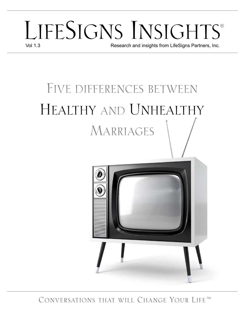# LIFESIGNS INSIGHTS<sup>®</sup> Research and insights from LifeSigns Partners, Inc.

# FIVE DIFFERENCES BETWEEN HEALTHY AND UNHEALTHY MARRIAGES



CONVERSATIONS THAT WILL CHANGE YOUR LIFE™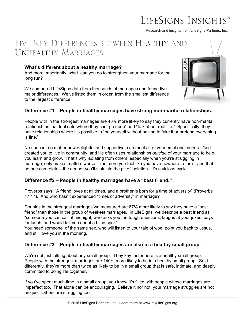## LIFESIGNS INSIGHT

Research and insights from LifeSigns Partners, Inc.

### FIVE KEY DIFFERENCES BETWEEN HEALTHY AND UNHEALTHY MARRIAGES

#### **What's different about a healthy marriage?**

And more importantly, what can you do to strengthen your marriage for the long run?

We compared LifeSigns data from thousands of marriages and found five major differences. We've listed them in order, from the smallest difference to the largest difference.



#### **Difference #1 – People in healthy marriages have strong non-marital relationships.**

People with in the strongest marriages are 43% more likely to say they currently have non-marital relationships that feel safe where they can "go deep" and "talk about real life." Specifically, they have relationships where it's possible to "be yourself without having to fake it or pretend everything is fine."

No spouse, no matter how delightful and supportive, can meet all of your emotional needs. God created you to live in community, and He often uses relationships *outside* of your marriage to help you learn and grow. That's why isolating from others, especially when you're struggling in marriage, only makes matters worse. The more you feel like you have nowhere to turn—and that no one can relate—the deeper you'll sink into the pit of isolation. It's a vicious cycle.

#### **Difference #2 – People in healthy marriages have a "best friend."**

Proverbs says, "A friend loves at all times, and a brother is born for a time of adversity" (Proverbs 17:17). And who hasn't experienced "times of adversity" in marriage?

Couples in the strongest marriages we measured are 67% more likely to say they have a "best friend" than those in the group of weakest marriages. In LifeSigns, we describe a best friend as "someone you can call at midnight, who asks you the tough questions, laughs at your jokes, pays for lunch, and would tell you about a blind spot."

You need someone, of the same sex, who will listen to your tale of woe, point you back to Jesus, and still love you in the morning.

#### **Difference #3 – People in healthy marriages are also in a healthy small group.**

We're not just talking about any small group. They key factor here is a healthy small group. People with the strongest marriages are 140% more likely to be in a healthy small group. Said differently, they're more than twice as likely to be in a small group that is safe, intimate, and deeply committed to doing life together.

If you've spent much time in a small group, you know it's filled with people whose marriages are imperfect too. That alone can be encouraging. Believe it nor not, your marriage struggles are not unique. Others are struggling too.